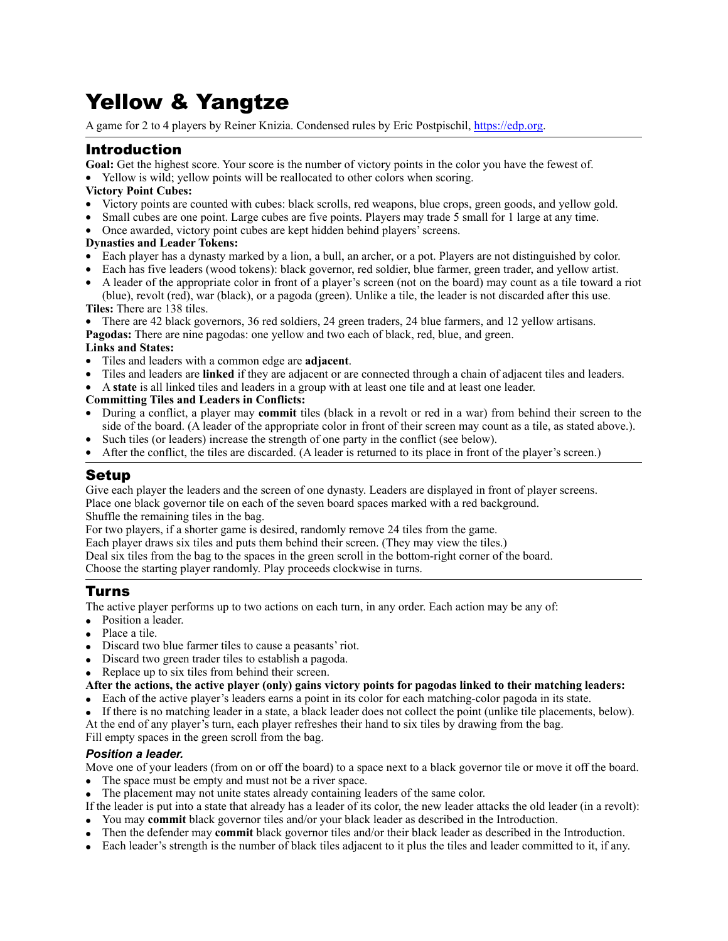# Yellow & Yangtze

A game for 2 to 4 players by Reiner Knizia. Condensed rules by Eric Postpischil, [https://edp.org.](https://edp.org)

# Introduction

**Goal:** Get the highest score. Your score is the number of victory points in the color you have the fewest of.

• Yellow is wild; yellow points will be reallocated to other colors when scoring.

#### **Victory Point Cubes:**

- Victory points are counted with cubes: black scrolls, red weapons, blue crops, green goods, and yellow gold.
- Small cubes are one point. Large cubes are five points. Players may trade 5 small for 1 large at any time.
- Once awarded, victory point cubes are kept hidden behind players' screens.

#### **Dynasties and Leader Tokens:**

- Each player has a dynasty marked by a lion, a bull, an archer, or a pot. Players are not distinguished by color.
- Each has five leaders (wood tokens): black governor, red soldier, blue farmer, green trader, and yellow artist. • A leader of the appropriate color in front of a player's screen (not on the board) may count as a tile toward a riot
- (blue), revolt (red), war (black), or a pagoda (green). Unlike a tile, the leader is not discarded after this use. **Tiles:** There are 138 tiles.
- There are 42 black governors, 36 red soldiers, 24 green traders, 24 blue farmers, and 12 yellow artisans.
- **Pagodas:** There are nine pagodas: one yellow and two each of black, red, blue, and green.

#### **Links and States:**

- Tiles and leaders with a common edge are **adjacent**.
- Tiles and leaders are **linked** if they are adjacent or are connected through a chain of adjacent tiles and leaders.
- A **state** is all linked tiles and leaders in a group with at least one tile and at least one leader.

#### **Committing Tiles and Leaders in Conflicts:**

- During a conflict, a player may **commit** tiles (black in a revolt or red in a war) from behind their screen to the side of the board. (A leader of the appropriate color in front of their screen may count as a tile, as stated above.).
- Such tiles (or leaders) increase the strength of one party in the conflict (see below).
- After the conflict, the tiles are discarded. (A leader is returned to its place in front of the player's screen.)

## Setup

Give each player the leaders and the screen of one dynasty. Leaders are displayed in front of player screens. Place one black governor tile on each of the seven board spaces marked with a red background.

Shuffle the remaining tiles in the bag.

For two players, if a shorter game is desired, randomly remove 24 tiles from the game.

Each player draws six tiles and puts them behind their screen. (They may view the tiles.)

Deal six tiles from the bag to the spaces in the green scroll in the bottom-right corner of the board. Choose the starting player randomly. Play proceeds clockwise in turns.

# Turns

The active player performs up to two actions on each turn, in any order. Each action may be any of:

- Position a leader.
- Place a tile.
- Discard two blue farmer tiles to cause a peasants' riot.
- Discard two green trader tiles to establish a pagoda.
- Replace up to six tiles from behind their screen.
- **After the actions, the active player (only) gains victory points for pagodas linked to their matching leaders:**
- Each of the active player's leaders earns a point in its color for each matching-color pagoda in its state.
- If there is no matching leader in a state, a black leader does not collect the point (unlike tile placements, below).

At the end of any player's turn, each player refreshes their hand to six tiles by drawing from the bag.

Fill empty spaces in the green scroll from the bag.

#### *Position a leader.*

Move one of your leaders (from on or off the board) to a space next to a black governor tile or move it off the board. • The space must be empty and must not be a river space.

- The placement may not unite states already containing leaders of the same color.
- If the leader is put into a state that already has a leader of its color, the new leader attacks the old leader (in a revolt): • You may **commit** black governor tiles and/or your black leader as described in the Introduction.
- Then the defender may **commit** black governor tiles and/or their black leader as described in the Introduction.
- Each leader's strength is the number of black tiles adjacent to it plus the tiles and leader committed to it, if any.